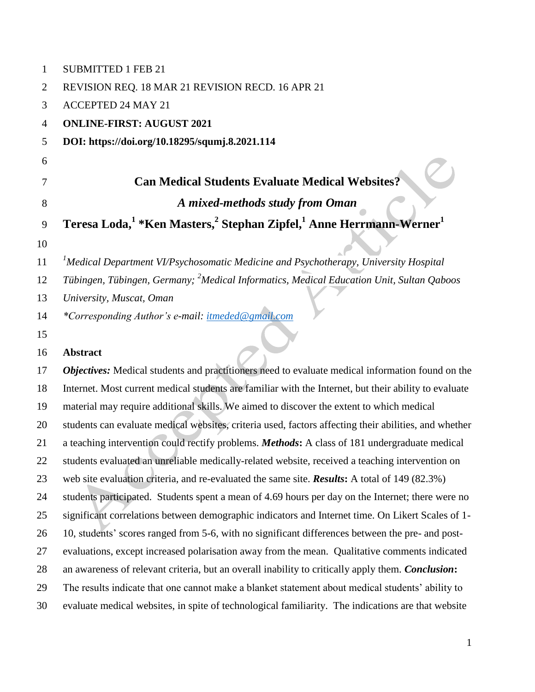| 1              | <b>SUBMITTED 1 FEB 21</b>                                                                                           |
|----------------|---------------------------------------------------------------------------------------------------------------------|
| $\overline{2}$ | REVISION REQ. 18 MAR 21 REVISION RECD. 16 APR 21                                                                    |
| 3              | <b>ACCEPTED 24 MAY 21</b>                                                                                           |
| $\overline{4}$ | <b>ONLINE-FIRST: AUGUST 2021</b>                                                                                    |
| 5              | DOI: https://doi.org/10.18295/squmj.8.2021.114                                                                      |
| 6              |                                                                                                                     |
| 7              | <b>Can Medical Students Evaluate Medical Websites?</b>                                                              |
| $8\,$          | A mixed-methods study from Oman                                                                                     |
| 9              | Teresa Loda, <sup>1</sup> *Ken Masters, <sup>2</sup> Stephan Zipfel, <sup>1</sup> Anne Herrmann-Werner <sup>1</sup> |
| 10             |                                                                                                                     |
| 11             | ${}^{1}$ Medical Department VI/Psychosomatic Medicine and Psychotherapy, University Hospital                        |
| 12             | Tübingen, Tübingen, Germany; <sup>2</sup> Medical Informatics, Medical Education Unit, Sultan Qaboos                |
| 13             | University, Muscat, Oman                                                                                            |
| 14             | *Corresponding Author's e-mail: itmeded@gmail.com                                                                   |
| 15             |                                                                                                                     |
| 16             | <b>Abstract</b>                                                                                                     |
| 17             | Objectives: Medical students and practitioners need to evaluate medical information found on the                    |
| 18             | Internet. Most current medical students are familiar with the Internet, but their ability to evaluate               |
| 19             | material may require additional skills. We aimed to discover the extent to which medical                            |
| 20             | students can evaluate medical websites, criteria used, factors affecting their abilities, and whether               |
| 21             | a teaching intervention could rectify problems. Methods: A class of 181 undergraduate medical                       |
| 22             | students evaluated an unreliable medically-related website, received a teaching intervention on                     |
| 23             | web site evaluation criteria, and re-evaluated the same site. <b>Results:</b> A total of 149 (82.3%)                |
| 24             | students participated. Students spent a mean of 4.69 hours per day on the Internet; there were no                   |
| 25             | significant correlations between demographic indicators and Internet time. On Likert Scales of 1-                   |
| 26             | 10, students' scores ranged from 5-6, with no significant differences between the pre- and post-                    |
| 27             | evaluations, except increased polarisation away from the mean. Qualitative comments indicated                       |
| 28             | an awareness of relevant criteria, but an overall inability to critically apply them. Conclusion:                   |
| 29             | The results indicate that one cannot make a blanket statement about medical students' ability to                    |
| 30             | evaluate medical websites, in spite of technological familiarity. The indications are that website                  |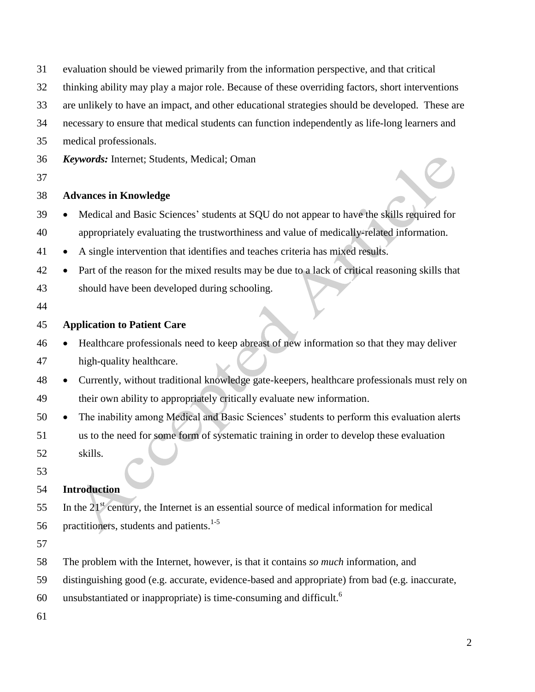| 31 | evaluation should be viewed primarily from the information perspective, and that critical        |  |  |  |  |  |
|----|--------------------------------------------------------------------------------------------------|--|--|--|--|--|
| 32 | thinking ability may play a major role. Because of these overriding factors, short interventions |  |  |  |  |  |
| 33 | are unlikely to have an impact, and other educational strategies should be developed. These are  |  |  |  |  |  |
| 34 | necessary to ensure that medical students can function independently as life-long learners and   |  |  |  |  |  |
| 35 | medical professionals.                                                                           |  |  |  |  |  |
| 36 | Keywords: Internet; Students, Medical; Oman                                                      |  |  |  |  |  |
| 37 |                                                                                                  |  |  |  |  |  |
| 38 | <b>Advances in Knowledge</b>                                                                     |  |  |  |  |  |
| 39 | Medical and Basic Sciences' students at SQU do not appear to have the skills required for        |  |  |  |  |  |
| 40 | appropriately evaluating the trustworthiness and value of medically-related information.         |  |  |  |  |  |
| 41 | A single intervention that identifies and teaches criteria has mixed results.                    |  |  |  |  |  |
| 42 | Part of the reason for the mixed results may be due to a lack of critical reasoning skills that  |  |  |  |  |  |
| 43 | should have been developed during schooling.                                                     |  |  |  |  |  |
| 44 |                                                                                                  |  |  |  |  |  |
| 45 | <b>Application to Patient Care</b>                                                               |  |  |  |  |  |
| 46 | Healthcare professionals need to keep abreast of new information so that they may deliver        |  |  |  |  |  |
| 47 | high-quality healthcare.                                                                         |  |  |  |  |  |
| 48 | Currently, without traditional knowledge gate-keepers, healthcare professionals must rely on     |  |  |  |  |  |
| 49 | their own ability to appropriately critically evaluate new information.                          |  |  |  |  |  |
| 50 | The inability among Medical and Basic Sciences' students to perform this evaluation alerts       |  |  |  |  |  |
| 51 | us to the need for some form of systematic training in order to develop these evaluation         |  |  |  |  |  |
| 52 | skills.                                                                                          |  |  |  |  |  |
| 53 |                                                                                                  |  |  |  |  |  |
| 54 | <b>Introduction</b>                                                                              |  |  |  |  |  |
| 55 | In the $21st$ century, the Internet is an essential source of medical information for medical    |  |  |  |  |  |
| 56 | practitioners, students and patients. <sup>1-5</sup>                                             |  |  |  |  |  |
| 57 |                                                                                                  |  |  |  |  |  |
| 58 | The problem with the Internet, however, is that it contains so much information, and             |  |  |  |  |  |
| 59 | distinguishing good (e.g. accurate, evidence-based and appropriate) from bad (e.g. inaccurate,   |  |  |  |  |  |
| 60 | unsubstantiated or inappropriate) is time-consuming and difficult. <sup>6</sup>                  |  |  |  |  |  |
| 61 |                                                                                                  |  |  |  |  |  |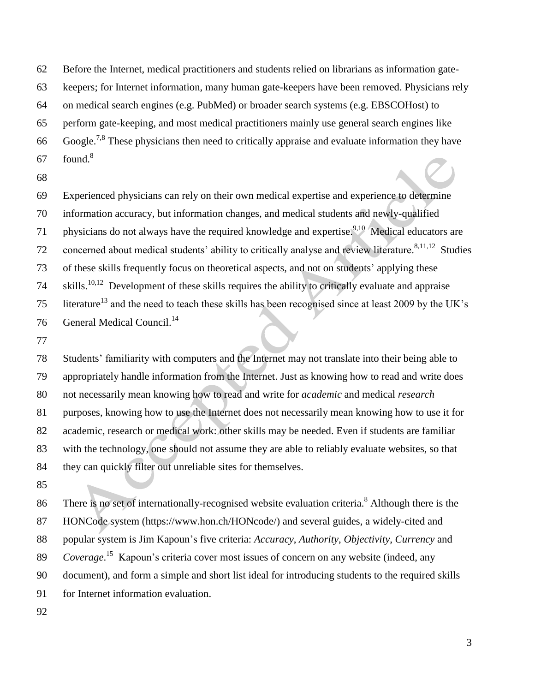Before the Internet, medical practitioners and students relied on librarians as information gate- keepers; for Internet information, many human gate-keepers have been removed. Physicians rely on medical search engines (e.g. PubMed) or broader search systems (e.g. EBSCOHost) to perform gate-keeping, and most medical practitioners mainly use general search engines like 66 Google.<sup>7,8</sup> These physicians then need to critically appraise and evaluate information they have found.<sup>8</sup> 

 Experienced physicians can rely on their own medical expertise and experience to determine information accuracy, but information changes, and medical students and newly-qualified 71 physicians do not always have the required knowledge and expertise.<sup>9,10</sup> Medical educators are 72 concerned about medical students' ability to critically analyse and review literature.<sup>8,11,12</sup> Studies of these skills frequently focus on theoretical aspects, and not on students" applying these skills.10,12 74 Development of these skills requires the ability to critically evaluate and appraise 15 literature<sup>13</sup> and the need to teach these skills has been recognised since at least 2009 by the UK's 76 General Medical Council.<sup>14</sup>

 Students" familiarity with computers and the Internet may not translate into their being able to appropriately handle information from the Internet. Just as knowing how to read and write does not necessarily mean knowing how to read and write for *academic* and medical *research* purposes, knowing how to use the Internet does not necessarily mean knowing how to use it for academic, research or medical work: other skills may be needed. Even if students are familiar with the technology, one should not assume they are able to reliably evaluate websites, so that they can quickly filter out unreliable sites for themselves.

86 There is no set of internationally-recognised website evaluation criteria.<sup>8</sup> Although there is the HONCode system (https://www.hon.ch/HONcode/) and several guides, a widely-cited and popular system is Jim Kapoun"s five criteria: *Accuracy*, *Authority*, *Objectivity*, *Currency* and 89 Coverage.<sup>15</sup> Kapoun's criteria cover most issues of concern on any website (indeed, any document), and form a simple and short list ideal for introducing students to the required skills for Internet information evaluation.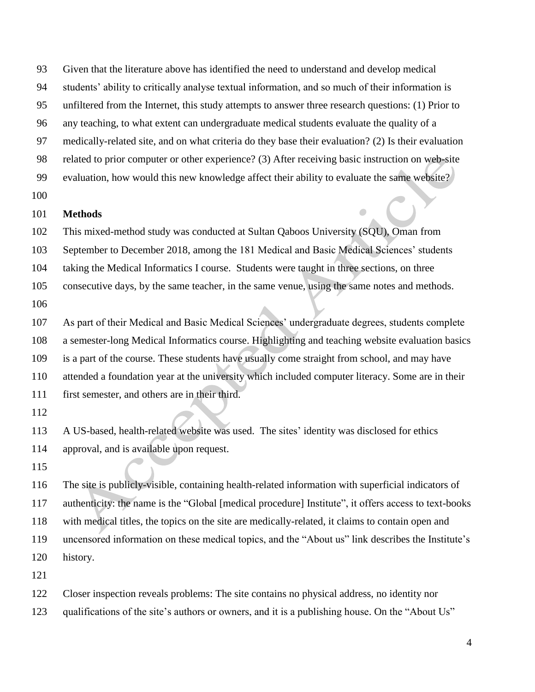Given that the literature above has identified the need to understand and develop medical

students" ability to critically analyse textual information, and so much of their information is

unfiltered from the Internet, this study attempts to answer three research questions: (1) Prior to

any teaching, to what extent can undergraduate medical students evaluate the quality of a

medically-related site, and on what criteria do they base their evaluation? (2) Is their evaluation

related to prior computer or other experience? (3) After receiving basic instruction on web-site

99 evaluation, how would this new knowledge affect their ability to evaluate the same website?

# **Methods**

This mixed-method study was conducted at Sultan Qaboos University (SQU), Oman from

September to December 2018, among the 181 Medical and Basic Medical Sciences" students

taking the Medical Informatics I course. Students were taught in three sections, on three

 consecutive days, by the same teacher, in the same venue, using the same notes and methods. 

107 As part of their Medical and Basic Medical Sciences' undergraduate degrees, students complete a semester-long Medical Informatics course. Highlighting and teaching website evaluation basics is a part of the course. These students have usually come straight from school, and may have attended a foundation year at the university which included computer literacy. Some are in their first semester, and others are in their third.

113 A US-based, health-related website was used. The sites' identity was disclosed for ethics approval, and is available upon request.

 The site is publicly-visible, containing health-related information with superficial indicators of authenticity: the name is the "Global [medical procedure] Institute", it offers access to text-books with medical titles, the topics on the site are medically-related, it claims to contain open and uncensored information on these medical topics, and the "About us" link describes the Institute"s history.

Closer inspection reveals problems: The site contains no physical address, no identity nor

123 qualifications of the site's authors or owners, and it is a publishing house. On the "About Us"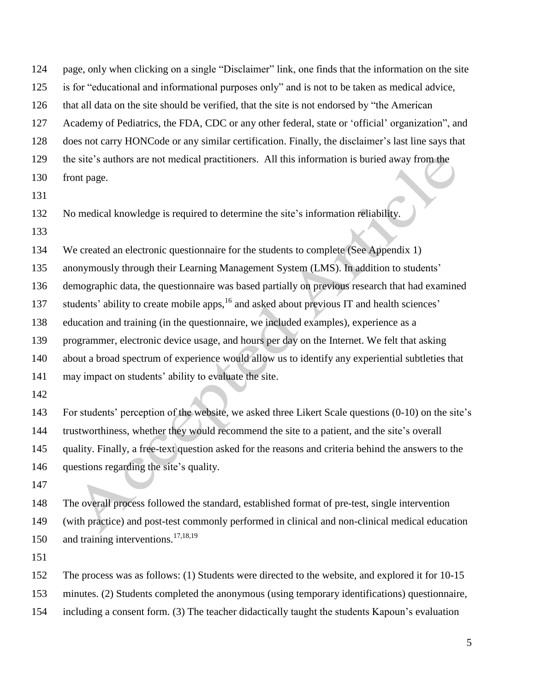page, only when clicking on a single "Disclaimer" link, one finds that the information on the site is for "educational and informational purposes only" and is not to be taken as medical advice, that all data on the site should be verified, that the site is not endorsed by "the American Academy of Pediatrics, the FDA, CDC or any other federal, state or "official" organization", and does not carry HONCode or any similar certification. Finally, the disclaimer"s last line says that 129 the site's authors are not medical practitioners. All this information is buried away from the front page.

No medical knowledge is required to determine the site"s information reliability.

We created an electronic questionnaire for the students to complete (See Appendix 1)

135 anonymously through their Learning Management System (LMS). In addition to students'

demographic data, the questionnaire was based partially on previous research that had examined

137 students' ability to create mobile apps, and asked about previous IT and health sciences'

education and training (in the questionnaire, we included examples), experience as a

programmer, electronic device usage, and hours per day on the Internet. We felt that asking

about a broad spectrum of experience would allow us to identify any experiential subtleties that

141 may impact on students' ability to evaluate the site.

 For students" perception of the website, we asked three Likert Scale questions (0-10) on the site"s 144 trustworthiness, whether they would recommend the site to a patient, and the site's overall quality. Finally, a free-text question asked for the reasons and criteria behind the answers to the 146 questions regarding the site's quality.

 The overall process followed the standard, established format of pre-test, single intervention (with practice) and post-test commonly performed in clinical and non-clinical medical education 150 and training interventions.<sup>17,18,19</sup>

The process was as follows: (1) Students were directed to the website, and explored it for 10-15

minutes. (2) Students completed the anonymous (using temporary identifications) questionnaire,

including a consent form. (3) The teacher didactically taught the students Kapoun"s evaluation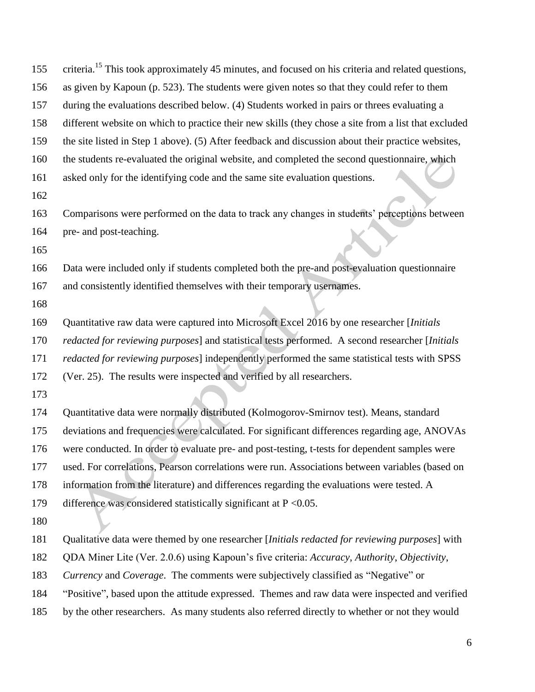| 155 | criteria. <sup>15</sup> This took approximately 45 minutes, and focused on his criteria and related questions, |
|-----|----------------------------------------------------------------------------------------------------------------|
| 156 | as given by Kapoun (p. 523). The students were given notes so that they could refer to them                    |
| 157 | during the evaluations described below. (4) Students worked in pairs or threes evaluating a                    |
| 158 | different website on which to practice their new skills (they chose a site from a list that excluded           |
| 159 | the site listed in Step 1 above). (5) After feedback and discussion about their practice websites,             |
| 160 | the students re-evaluated the original website, and completed the second questionnaire, which                  |
| 161 | asked only for the identifying code and the same site evaluation questions.                                    |
| 162 |                                                                                                                |
| 163 | Comparisons were performed on the data to track any changes in students' perceptions between                   |
| 164 | pre- and post-teaching.                                                                                        |
| 165 |                                                                                                                |
| 166 | Data were included only if students completed both the pre-and post-evaluation questionnaire                   |
| 167 | and consistently identified themselves with their temporary usernames.                                         |
| 168 |                                                                                                                |
| 169 | Quantitative raw data were captured into Microsoft Excel 2016 by one researcher [Initials                      |
| 170 | redacted for reviewing purposes] and statistical tests performed. A second researcher [Initials                |
| 171 | redacted for reviewing purposes] independently performed the same statistical tests with SPSS                  |
| 172 | (Ver. 25). The results were inspected and verified by all researchers.                                         |
| 173 |                                                                                                                |
| 174 | Quantitative data were normally distributed (Kolmogorov-Smirnov test). Means, standard                         |
| 175 | deviations and frequencies were calculated. For significant differences regarding age, ANOVAs                  |
| 176 | were conducted. In order to evaluate pre- and post-testing, t-tests for dependent samples were                 |
| 177 | used. For correlations, Pearson correlations were run. Associations between variables (based on                |
| 178 | information from the literature) and differences regarding the evaluations were tested. A                      |
| 179 | difference was considered statistically significant at $P < 0.05$ .                                            |
| 180 |                                                                                                                |
| 181 | Qualitative data were themed by one researcher [Initials redacted for reviewing purposes] with                 |
| 182 | QDA Miner Lite (Ver. 2.0.6) using Kapoun's five criteria: Accuracy, Authority, Objectivity,                    |
| 183 | Currency and Coverage. The comments were subjectively classified as "Negative" or                              |
| 184 | "Positive", based upon the attitude expressed. Themes and raw data were inspected and verified                 |
| 185 | by the other researchers. As many students also referred directly to whether or not they would                 |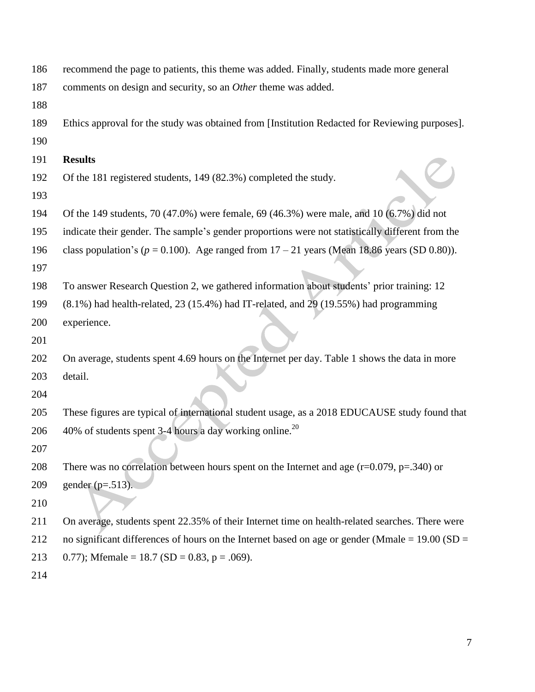| 186 | recommend the page to patients, this theme was added. Finally, students made more general         |
|-----|---------------------------------------------------------------------------------------------------|
| 187 | comments on design and security, so an Other theme was added.                                     |
| 188 |                                                                                                   |
| 189 | Ethics approval for the study was obtained from [Institution Redacted for Reviewing purposes].    |
| 190 |                                                                                                   |
| 191 | <b>Results</b>                                                                                    |
| 192 | Of the 181 registered students, 149 (82.3%) completed the study.                                  |
| 193 |                                                                                                   |
| 194 | Of the 149 students, 70 (47.0%) were female, 69 (46.3%) were male, and 10 (6.7%) did not          |
| 195 | indicate their gender. The sample's gender proportions were not statistically different from the  |
| 196 | class population's ( $p = 0.100$ ). Age ranged from $17 - 21$ years (Mean 18.86 years (SD 0.80)). |
| 197 |                                                                                                   |
| 198 | To answer Research Question 2, we gathered information about students' prior training: 12         |
| 199 | (8.1%) had health-related, 23 (15.4%) had IT-related, and 29 (19.55%) had programming             |
| 200 | experience.                                                                                       |
| 201 |                                                                                                   |
| 202 | On average, students spent 4.69 hours on the Internet per day. Table 1 shows the data in more     |
| 203 | detail.                                                                                           |
| 204 |                                                                                                   |
| 205 | These figures are typical of international student usage, as a 2018 EDUCAUSE study found that     |
| 206 | 40% of students spent 3-4 hours a day working online. <sup>20</sup>                               |
| 207 |                                                                                                   |
| 208 | There was no correlation between hours spent on the Internet and age $(r=0.079, p=.340)$ or       |
| 209 | gender ( $p=.513$ ).                                                                              |
| 210 |                                                                                                   |
| 211 | On average, students spent 22.35% of their Internet time on health-related searches. There were   |
| 212 | no significant differences of hours on the Internet based on age or gender (Mmale = $19.00$ (SD = |
| 213 | 0.77); Mfemale = 18.7 (SD = 0.83, p = .069).                                                      |
| 214 |                                                                                                   |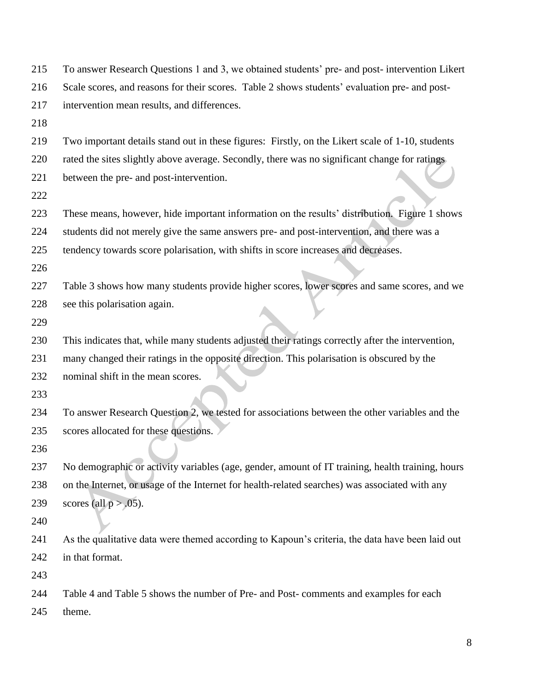| 215 | To answer Research Questions 1 and 3, we obtained students' pre- and post-intervention Likert     |
|-----|---------------------------------------------------------------------------------------------------|
| 216 | Scale scores, and reasons for their scores. Table 2 shows students' evaluation pre- and post-     |
| 217 | intervention mean results, and differences.                                                       |
| 218 |                                                                                                   |
| 219 | Two important details stand out in these figures: Firstly, on the Likert scale of 1-10, students  |
| 220 | rated the sites slightly above average. Secondly, there was no significant change for ratings     |
| 221 | between the pre- and post-intervention.                                                           |
| 222 |                                                                                                   |
| 223 | These means, however, hide important information on the results' distribution. Figure 1 shows     |
| 224 | students did not merely give the same answers pre- and post-intervention, and there was a         |
| 225 | tendency towards score polarisation, with shifts in score increases and decreases.                |
| 226 |                                                                                                   |
| 227 | Table 3 shows how many students provide higher scores, lower scores and same scores, and we       |
| 228 | see this polarisation again.                                                                      |
| 229 |                                                                                                   |
| 230 | This indicates that, while many students adjusted their ratings correctly after the intervention, |
| 231 | many changed their ratings in the opposite direction. This polarisation is obscured by the        |
| 232 | nominal shift in the mean scores.                                                                 |
| 233 |                                                                                                   |
| 234 | To answer Research Question 2, we tested for associations between the other variables and the     |
| 235 | scores allocated for these questions.                                                             |
| 236 |                                                                                                   |
| 237 | No demographic or activity variables (age, gender, amount of IT training, health training, hours  |
| 238 | on the Internet, or usage of the Internet for health-related searches) was associated with any    |
| 239 | scores (all $p > .05$ ).                                                                          |
| 240 |                                                                                                   |
| 241 | As the qualitative data were themed according to Kapoun's criteria, the data have been laid out   |
| 242 | in that format.                                                                                   |
| 243 |                                                                                                   |
| 244 | Table 4 and Table 5 shows the number of Pre- and Post- comments and examples for each             |
| 245 | theme.                                                                                            |
|     |                                                                                                   |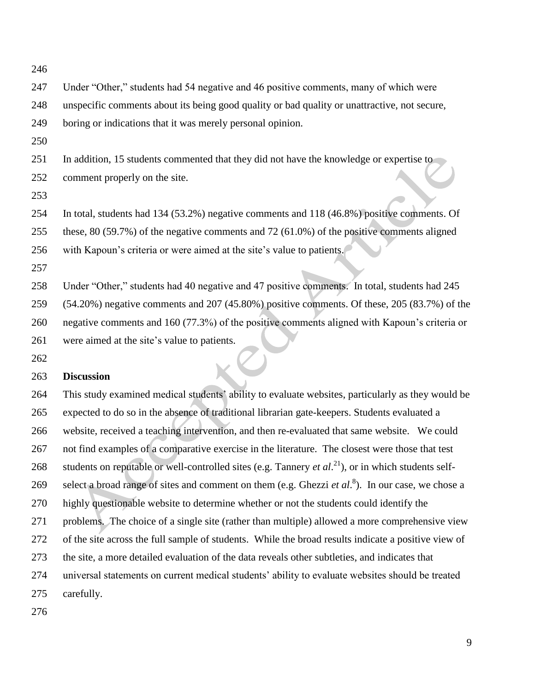Under "Other," students had 54 negative and 46 positive comments, many of which were unspecific comments about its being good quality or bad quality or unattractive, not secure, boring or indications that it was merely personal opinion. In addition, 15 students commented that they did not have the knowledge or expertise to comment properly on the site. In total, students had 134 (53.2%) negative comments and 118 (46.8%) positive comments. Of these, 80 (59.7%) of the negative comments and 72 (61.0%) of the positive comments aligned with Kapoun"s criteria or were aimed at the site"s value to patients. Under "Other," students had 40 negative and 47 positive comments. In total, students had 245 (54.20%) negative comments and 207 (45.80%) positive comments. Of these, 205 (83.7%) of the negative comments and 160 (77.3%) of the positive comments aligned with Kapoun"s criteria or were aimed at the site"s value to patients.

#### **Discussion**

 This study examined medical students" ability to evaluate websites, particularly as they would be expected to do so in the absence of traditional librarian gate-keepers. Students evaluated a website, received a teaching intervention, and then re-evaluated that same website. We could not find examples of a comparative exercise in the literature. The closest were those that test 268 students on reputable or well-controlled sites (e.g. Tannery *et al.*<sup>21</sup>), or in which students self-269 select a broad range of sites and comment on them (e.g. Ghezzi *et al.*<sup>8</sup>). In our case, we chose a highly questionable website to determine whether or not the students could identify the problems. The choice of a single site (rather than multiple) allowed a more comprehensive view of the site across the full sample of students. While the broad results indicate a positive view of the site, a more detailed evaluation of the data reveals other subtleties, and indicates that universal statements on current medical students" ability to evaluate websites should be treated carefully.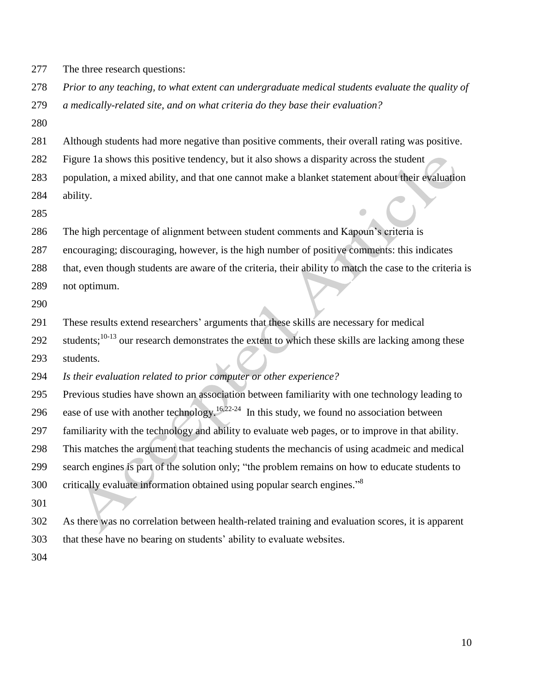- The three research questions:
- *Prior to any teaching, to what extent can undergraduate medical students evaluate the quality of*
- *a medically-related site, and on what criteria do they base their evaluation?*
- 

Although students had more negative than positive comments, their overall rating was positive.

- Figure 1a shows this positive tendency, but it also shows a disparity across the student
- population, a mixed ability, and that one cannot make a blanket statement about their evaluation
- ability.
- 

The high percentage of alignment between student comments and Kapoun"s criteria is

- encouraging; discouraging, however, is the high number of positive comments: this indicates
- that, even though students are aware of the criteria, their ability to match the case to the criteria is
- not optimum.
- 

These results extend researchers" arguments that these skills are necessary for medical

292 students;  $10-13$  our research demonstrates the extent to which these skills are lacking among these students.

*Is their evaluation related to prior computer or other experience?*

 Previous studies have shown an association between familiarity with one technology leading to 296 ease of use with another technology.<sup>16,22-24</sup> In this study, we found no association between familiarity with the technology and ability to evaluate web pages, or to improve in that ability. This matches the argument that teaching students the mechancis of using acadmeic and medical search engines is part of the solution only; "the problem remains on how to educate students to critically evaluate information obtained using popular search engines."<sup>8</sup> 

- As there was no correlation between health-related training and evaluation scores, it is apparent that these have no bearing on students" ability to evaluate websites.
-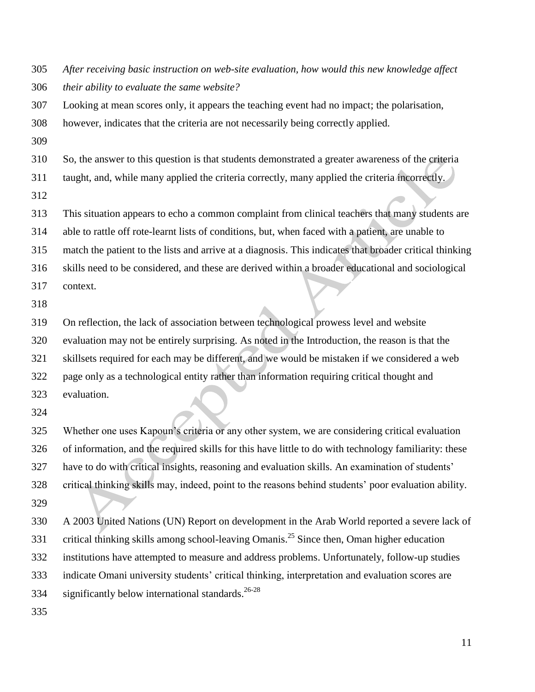*After receiving basic instruction on web-site evaluation, how would this new knowledge affect their ability to evaluate the same website?*

 Looking at mean scores only, it appears the teaching event had no impact; the polarisation, however, indicates that the criteria are not necessarily being correctly applied.

So, the answer to this question is that students demonstrated a greater awareness of the criteria

taught, and, while many applied the criteria correctly, many applied the criteria incorrectly.

This situation appears to echo a common complaint from clinical teachers that many students are

able to rattle off rote-learnt lists of conditions, but, when faced with a patient, are unable to

match the patient to the lists and arrive at a diagnosis. This indicates that broader critical thinking

skills need to be considered, and these are derived within a broader educational and sociological

- context.
- 

On reflection, the lack of association between technological prowess level and website

evaluation may not be entirely surprising. As noted in the Introduction, the reason is that the

skillsets required for each may be different, and we would be mistaken if we considered a web

page only as a technological entity rather than information requiring critical thought and

- evaluation.
- 

 Whether one uses Kapoun"s criteria or any other system, we are considering critical evaluation of information, and the required skills for this have little to do with technology familiarity: these have to do with critical insights, reasoning and evaluation skills. An examination of students" critical thinking skills may, indeed, point to the reasons behind students" poor evaluation ability. 

 A 2003 United Nations (UN) Report on development in the Arab World reported a severe lack of 331 critical thinking skills among school-leaving Omanis.<sup>25</sup> Since then, Oman higher education institutions have attempted to measure and address problems. Unfortunately, follow-up studies 333 indicate Omani university students' critical thinking, interpretation and evaluation scores are significantly below international standards.<sup>26-28</sup>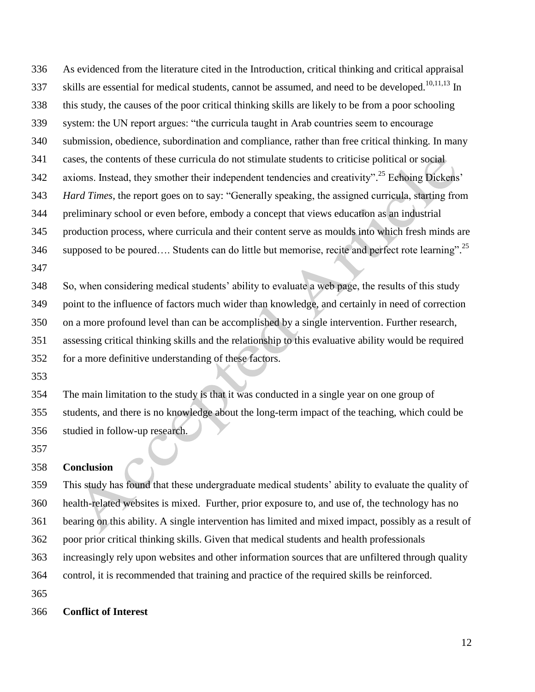As evidenced from the literature cited in the Introduction, critical thinking and critical appraisal skills are essential for medical students, cannot be assumed, and need to be developed.<sup>10,11,13</sup> In this study, the causes of the poor critical thinking skills are likely to be from a poor schooling system: the UN report argues: "the curricula taught in Arab countries seem to encourage submission, obedience, subordination and compliance, rather than free critical thinking. In many cases, the contents of these curricula do not stimulate students to criticise political or social 342 axioms. Instead, they smother their independent tendencies and creativity".<sup>25</sup> Echoing Dickens' *Hard Times*, the report goes on to say: "Generally speaking, the assigned curricula, starting from preliminary school or even before, embody a concept that views education as an industrial production process, where curricula and their content serve as moulds into which fresh minds are 346 supposed to be poured.... Students can do little but memorise, recite and perfect rote learning".<sup>25</sup> 

 So, when considering medical students" ability to evaluate a web page, the results of this study point to the influence of factors much wider than knowledge, and certainly in need of correction on a more profound level than can be accomplished by a single intervention. Further research, assessing critical thinking skills and the relationship to this evaluative ability would be required for a more definitive understanding of these factors.

 The main limitation to the study is that it was conducted in a single year on one group of students, and there is no knowledge about the long-term impact of the teaching, which could be studied in follow-up research.

#### **Conclusion**

 This study has found that these undergraduate medical students" ability to evaluate the quality of health-related websites is mixed. Further, prior exposure to, and use of, the technology has no bearing on this ability. A single intervention has limited and mixed impact, possibly as a result of poor prior critical thinking skills. Given that medical students and health professionals increasingly rely upon websites and other information sources that are unfiltered through quality control, it is recommended that training and practice of the required skills be reinforced. 

#### **Conflict of Interest**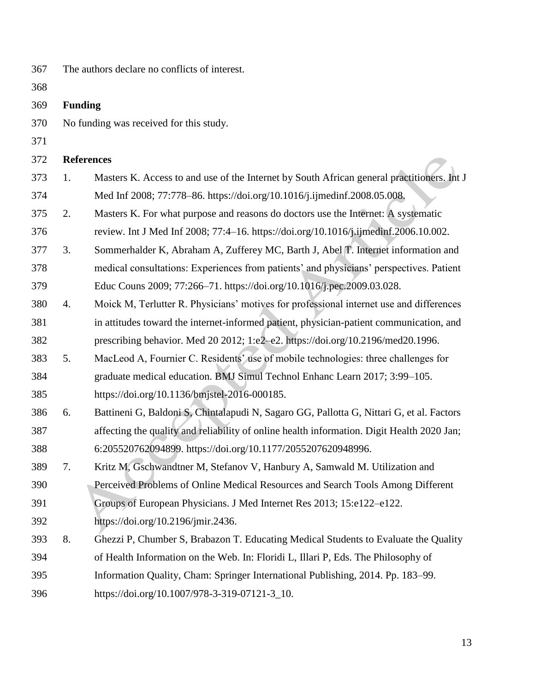| 367 |                   | The authors declare no conflicts of interest.                                              |
|-----|-------------------|--------------------------------------------------------------------------------------------|
| 368 |                   |                                                                                            |
| 369 | <b>Funding</b>    |                                                                                            |
| 370 |                   | No funding was received for this study.                                                    |
| 371 |                   |                                                                                            |
| 372 | <b>References</b> |                                                                                            |
| 373 | 1.                | Masters K. Access to and use of the Internet by South African general practitioners. Int J |
| 374 |                   | Med Inf 2008; 77:778-86. https://doi.org/10.1016/j.ijmedinf.2008.05.008.                   |
| 375 | 2.                | Masters K. For what purpose and reasons do doctors use the Internet: A systematic          |
| 376 |                   | review. Int J Med Inf 2008; 77:4-16. https://doi.org/10.1016/j.ijmedinf.2006.10.002.       |
| 377 | 3.                | Sommerhalder K, Abraham A, Zufferey MC, Barth J, Abel T. Internet information and          |
| 378 |                   | medical consultations: Experiences from patients' and physicians' perspectives. Patient    |
| 379 |                   | Educ Couns 2009; 77:266–71. https://doi.org/10.1016/j.pec.2009.03.028.                     |
| 380 | 4.                | Moick M, Terlutter R. Physicians' motives for professional internet use and differences    |
| 381 |                   | in attitudes toward the internet-informed patient, physician-patient communication, and    |
| 382 |                   | prescribing behavior. Med 20 2012; 1:e2-e2. https://doi.org/10.2196/med20.1996.            |
| 383 | 5.                | MacLeod A, Fournier C. Residents' use of mobile technologies: three challenges for         |
| 384 |                   | graduate medical education. BMJ Simul Technol Enhanc Learn 2017; 3:99-105.                 |
| 385 |                   | https://doi.org/10.1136/bmjstel-2016-000185.                                               |
| 386 | 6.                | Battineni G, Baldoni S, Chintalapudi N, Sagaro GG, Pallotta G, Nittari G, et al. Factors   |
| 387 |                   | affecting the quality and reliability of online health information. Digit Health 2020 Jan; |
| 388 |                   | 6:205520762094899. https://doi.org/10.1177/2055207620948996.                               |
| 389 | 7.                | Kritz M, Gschwandtner M, Stefanov V, Hanbury A, Samwald M. Utilization and                 |
| 390 |                   | Perceived Problems of Online Medical Resources and Search Tools Among Different            |
| 391 |                   | Groups of European Physicians. J Med Internet Res 2013; 15:e122-e122.                      |
| 392 |                   | https://doi.org/10.2196/jmir.2436.                                                         |
| 393 | 8.                | Ghezzi P, Chumber S, Brabazon T. Educating Medical Students to Evaluate the Quality        |
| 394 |                   | of Health Information on the Web. In: Floridi L, Illari P, Eds. The Philosophy of          |
| 395 |                   | Information Quality, Cham: Springer International Publishing, 2014. Pp. 183–99.            |
| 396 |                   | https://doi.org/10.1007/978-3-319-07121-3_10.                                              |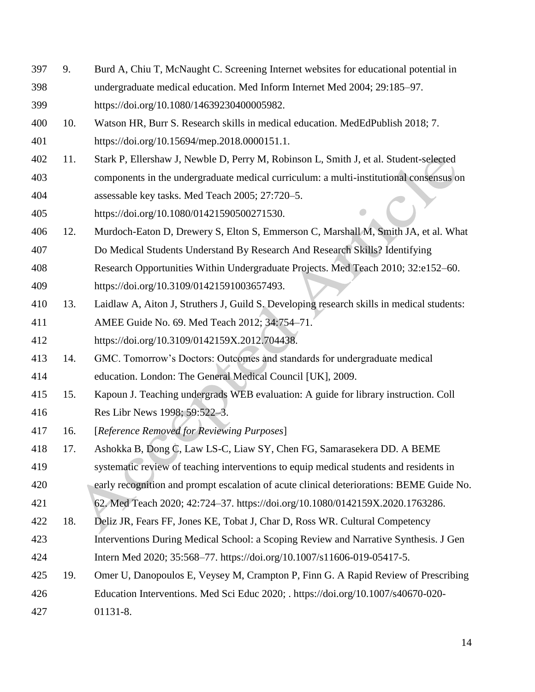- 9. Burd A, Chiu T, McNaught C. Screening Internet websites for educational potential in undergraduate medical education. Med Inform Internet Med 2004; 29:185–97. https://doi.org/10.1080/14639230400005982.
- 10. Watson HR, Burr S. Research skills in medical education. MedEdPublish 2018; 7. https://doi.org/10.15694/mep.2018.0000151.1.
- 11. Stark P, Ellershaw J, Newble D, Perry M, Robinson L, Smith J, et al. Student-selected components in the undergraduate medical curriculum: a multi-institutional consensus on assessable key tasks. Med Teach 2005; 27:720–5.
- https://doi.org/10.1080/01421590500271530.
- 12. Murdoch-Eaton D, Drewery S, Elton S, Emmerson C, Marshall M, Smith JA, et al. What
- Do Medical Students Understand By Research And Research Skills? Identifying
- Research Opportunities Within Undergraduate Projects. Med Teach 2010; 32:e152–60.

https://doi.org/10.3109/01421591003657493.

- 13. Laidlaw A, Aiton J, Struthers J, Guild S. Developing research skills in medical students:
- AMEE Guide No. 69. Med Teach 2012; 34:754–71.
- https://doi.org/10.3109/0142159X.2012.704438.
- 14. GMC. Tomorrow"s Doctors: Outcomes and standards for undergraduate medical education. London: The General Medical Council [UK], 2009.
- 15. Kapoun J. Teaching undergrads WEB evaluation: A guide for library instruction. Coll Res Libr News 1998; 59:522–3.
- 16. [*Reference Removed for Reviewing Purposes*]
- 17. Ashokka B, Dong C, Law LS-C, Liaw SY, Chen FG, Samarasekera DD. A BEME
- systematic review of teaching interventions to equip medical students and residents in
- early recognition and prompt escalation of acute clinical deteriorations: BEME Guide No.
- 62. Med Teach 2020; 42:724–37. https://doi.org/10.1080/0142159X.2020.1763286.
- 18. Deliz JR, Fears FF, Jones KE, Tobat J, Char D, Ross WR. Cultural Competency
- Interventions During Medical School: a Scoping Review and Narrative Synthesis. J Gen Intern Med 2020; 35:568–77. https://doi.org/10.1007/s11606-019-05417-5.
- 19. Omer U, Danopoulos E, Veysey M, Crampton P, Finn G. A Rapid Review of Prescribing
- Education Interventions. Med Sci Educ 2020; . https://doi.org/10.1007/s40670-020-
- 01131-8.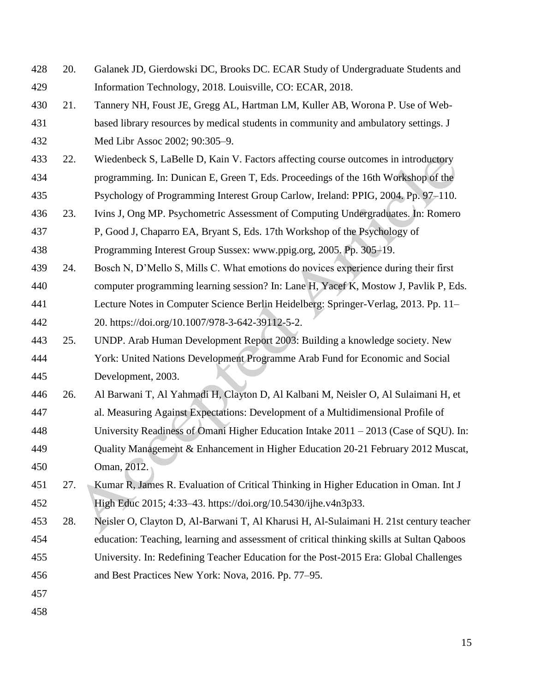20. Galanek JD, Gierdowski DC, Brooks DC. ECAR Study of Undergraduate Students and Information Technology, 2018. Louisville, CO: ECAR, 2018. 21. Tannery NH, Foust JE, Gregg AL, Hartman LM, Kuller AB, Worona P. Use of Web- based library resources by medical students in community and ambulatory settings. J Med Libr Assoc 2002; 90:305–9. 22. Wiedenbeck S, LaBelle D, Kain V. Factors affecting course outcomes in introductory programming. In: Dunican E, Green T, Eds. Proceedings of the 16th Workshop of the Psychology of Programming Interest Group Carlow, Ireland: PPIG, 2004. Pp. 97–110. 23. Ivins J, Ong MP. Psychometric Assessment of Computing Undergraduates. In: Romero P, Good J, Chaparro EA, Bryant S, Eds. 17th Workshop of the Psychology of Programming Interest Group Sussex: www.ppig.org, 2005. Pp. 305–19. 24. Bosch N, D"Mello S, Mills C. What emotions do novices experience during their first computer programming learning session? In: Lane H, Yacef K, Mostow J, Pavlik P, Eds. Lecture Notes in Computer Science Berlin Heidelberg: Springer-Verlag, 2013. Pp. 11– 20. https://doi.org/10.1007/978-3-642-39112-5-2. 25. UNDP. Arab Human Development Report 2003: Building a knowledge society. New York: United Nations Development Programme Arab Fund for Economic and Social Development, 2003. 26. Al Barwani T, Al Yahmadi H, Clayton D, Al Kalbani M, Neisler O, Al Sulaimani H, et al. Measuring Against Expectations: Development of a Multidimensional Profile of University Readiness of Omani Higher Education Intake 2011 – 2013 (Case of SQU). In: Quality Management & Enhancement in Higher Education 20-21 February 2012 Muscat, Oman, 2012. 27. Kumar R, James R. Evaluation of Critical Thinking in Higher Education in Oman. Int J High Educ 2015; 4:33–43. https://doi.org/10.5430/ijhe.v4n3p33. 28. Neisler O, Clayton D, Al-Barwani T, Al Kharusi H, Al-Sulaimani H. 21st century teacher education: Teaching, learning and assessment of critical thinking skills at Sultan Qaboos University. In: Redefining Teacher Education for the Post-2015 Era: Global Challenges and Best Practices New York: Nova, 2016. Pp. 77–95.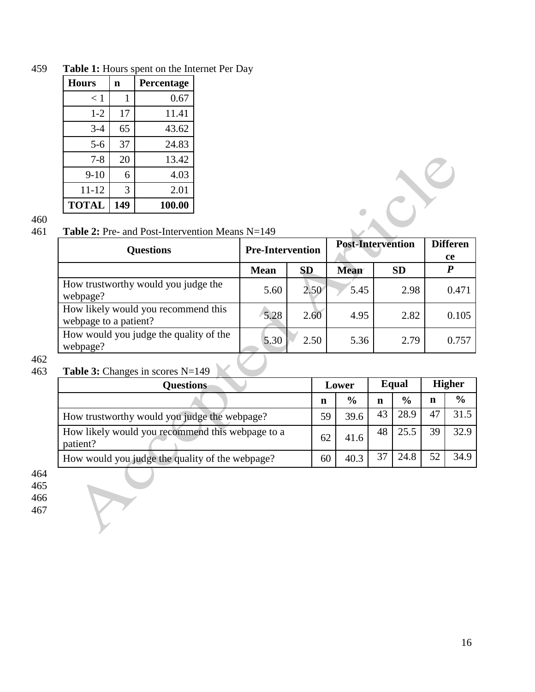| <b>Hours</b> | n   | Percentage |
|--------------|-----|------------|
| < 1          | 1   | 0.67       |
| $1 - 2$      | 17  | 11.41      |
| $3-4$        | 65  | 43.62      |
| $5 - 6$      | 37  | 24.83      |
| $7 - 8$      | 20  | 13.42      |
| $9 - 10$     | 6   | 4.03       |
| 11-12        | 3   | 2.01       |
| <b>TOTAL</b> | 149 | 100.00     |

459 **Table 1:** Hours spent on the Internet Per Day

460

# 461 **Table 2:** Pre- and Post-Intervention Means N=149

| <b>Questions</b>                                             | <b>Pre-Intervention</b> |           | <b>Post-Intervention</b> | <b>Differen</b> |       |
|--------------------------------------------------------------|-------------------------|-----------|--------------------------|-----------------|-------|
|                                                              |                         |           |                          | ce              |       |
|                                                              | <b>Mean</b>             | <b>SD</b> | <b>Mean</b>              | <b>SD</b>       | P     |
| How trustworthy would you judge the<br>webpage?              | 5.60                    | 2.50      | 5.45                     | 2.98            | 0.471 |
| How likely would you recommend this<br>webpage to a patient? | 5.28                    | 2.60      | 4.95                     | 2.82            | 0.105 |
| How would you judge the quality of the<br>webpage?           | 5.30                    | 2.50      | 5.36                     | 2.79            | 0.757 |

 $\frac{1}{2}$ 

# 462<br>463

# Table 3: Changes in scores N=149

TY

| <b>Questions</b>                                             |    | Lower         | Equal |               | <b>Higher</b> |               |
|--------------------------------------------------------------|----|---------------|-------|---------------|---------------|---------------|
|                                                              | n  | $\frac{6}{9}$ | n     | $\frac{0}{0}$ | n             | $\frac{6}{9}$ |
| How trustworthy would you judge the webpage?                 | 59 | 39.6          | 43    | 28.9          | 47            | 31.5          |
| How likely would you recommend this webpage to a<br>patient? | 62 | 41.6          | 48    | 25.5          | 39            | 32.9          |
| How would you judge the quality of the webpage?              | 60 | 40.3          | 37    | 24.8          | 52            | 34.9          |

464

465

466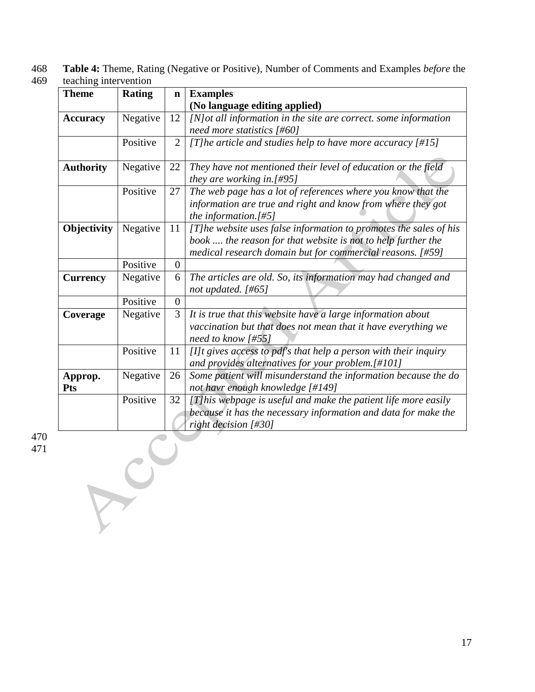468 **Table 4:** Theme, Rating (Negative or Positive), Number of Comments and Examples *before* the teaching intervention

| <b>Theme</b>          | <b>Rating</b> | $\mathbf n$      | <b>Examples</b>                                                                                                                                                                                |
|-----------------------|---------------|------------------|------------------------------------------------------------------------------------------------------------------------------------------------------------------------------------------------|
|                       |               |                  | (No language editing applied)                                                                                                                                                                  |
| <b>Accuracy</b>       | Negative      | 12               | [N] ot all information in the site are correct. some information                                                                                                                               |
|                       |               |                  | need more statistics $[#60]$                                                                                                                                                                   |
|                       | Positive      | $\overline{2}$   | [T] he article and studies help to have more accuracy $[#15]$                                                                                                                                  |
| <b>Authority</b>      | Negative      | 22               | They have not mentioned their level of education or the field<br>they are working in.[#95]                                                                                                     |
|                       | Positive      | 27               | The web page has a lot of references where you know that the<br>information are true and right and know from where they got<br>the information. $[#5]$                                         |
| Objectivity           | Negative      | 11               | [T]he website uses false information to promotes the sales of his<br>book  the reason for that website is not to help further the<br>medical research domain but for commercial reasons. [#59] |
|                       | Positive      | $\overline{0}$   |                                                                                                                                                                                                |
| <b>Currency</b>       | Negative      | 6                | The articles are old. So, its information may had changed and<br>not updated. [#65]                                                                                                            |
|                       | Positive      | $\boldsymbol{0}$ |                                                                                                                                                                                                |
| Coverage              | Negative      | 3                | It is true that this website have a large information about<br>vaccination but that does not mean that it have everything we<br>need to know [#55]                                             |
|                       | Positive      | 11               | [I]t gives access to pdf's that help a person with their inquiry<br>and provides alternatives for your problem.[#101]                                                                          |
| Approp.<br><b>Pts</b> | Negative      | 26               | Some patient will misunderstand the information because the do<br>not havr enough knowledge [#149]                                                                                             |
|                       | Positive      | 32               | [T]his webpage is useful and make the patient life more easily<br>because it has the necessary information and data for make the<br>right decision [#30]                                       |
|                       |               |                  |                                                                                                                                                                                                |